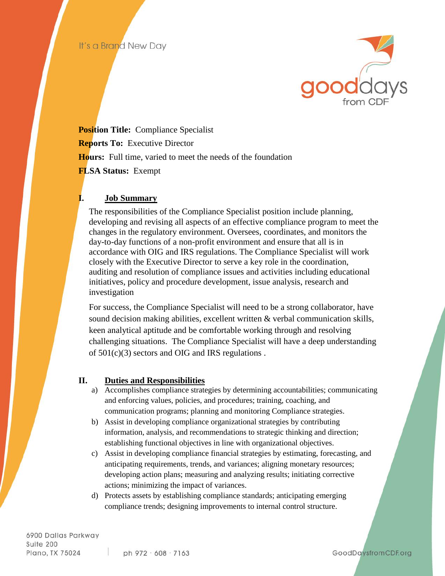

**Position Title:** Compliance Specialist **Reports To: Executive Director Hours:** Full time, varied to meet the needs of the foundation **FLSA Status:** Exempt

## **I. Job Summary**

The responsibilities of the Compliance Specialist position include planning, developing and revising all aspects of an effective compliance program to meet the changes in the regulatory environment. Oversees, coordinates, and monitors the day-to-day functions of a non-profit environment and ensure that all is in accordance with OIG and IRS regulations. The Compliance Specialist will work closely with the Executive Director to serve a key role in the coordination, auditing and resolution of compliance issues and activities including educational initiatives, policy and procedure development, issue analysis, research and investigation

For success, the Compliance Specialist will need to be a strong collaborator, have sound decision making abilities, excellent written  $\&$  verbal communication skills, keen analytical aptitude and be comfortable working through and resolving challenging situations. The Compliance Specialist will have a deep understanding of 501(c)(3) sectors and OIG and IRS regulations .

## **II. Duties and Responsibilities**

- a) Accomplishes compliance strategies by determining accountabilities; communicating and enforcing values, policies, and procedures; training, coaching, and communication programs; planning and monitoring Compliance strategies.
- b) Assist in developing compliance organizational strategies by contributing information, analysis, and recommendations to strategic thinking and direction; establishing functional objectives in line with organizational objectives.
- c) Assist in developing compliance financial strategies by estimating, forecasting, and anticipating requirements, trends, and variances; aligning monetary resources; developing action plans; measuring and analyzing results; initiating corrective actions; minimizing the impact of variances.
- d) Protects assets by establishing compliance standards; anticipating emerging compliance trends; designing improvements to internal control structure.

6900 Dallas Parkway Suite 200 Plano, TX 75024

GoodDaysfromCDF.org